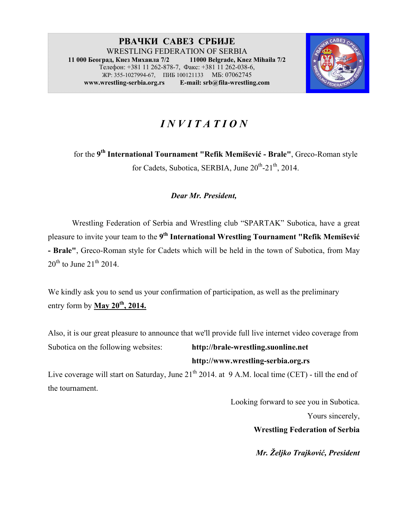#### **РВАЧКИ САВЕЗ СРБИЈЕ** WRESTLING FEDERATION OF SERBIA<br>an. Khes Muxauna 7/2 11000 Belgrade. Knez Mihaila 7/2 **11 000 Београд, Кнез Михаила 7/2 11000 Belgrade, Knez Mihaila 7/2**  Телефон: +381 11 262-878-7, Факс: +381 11 262-038-6, ЖР: 355-1027994-67, ПИБ 100121133 МБ: 07062745 **www.wrestling-serbia.org.rs E-mail: srb@fila-wrestling.com**



# *I N V I T A T I O N*

for the **9th International Tournament "Refik Memišević - Brale"**, Greco-Roman style for Cadets, Subotica, SERBIA, June  $20^{th}$ - $21^{th}$ , 2014.

### *Dear Mr. President,*

Wrestling Federation of Serbia and Wrestling club "SPARTAK" Subotica, have a great pleasure to invite your team to the **9th International Wrestling Tournament "Refik Memišević - Brale"**, Greco-Roman style for Cadets which will be held in the town of Subotica, from May  $20^{th}$  to June  $21^{th}$  2014.

We kindly ask you to send us your confirmation of participation, as well as the preliminary entry form by **May 20th, 2014.**

Also, it is our great pleasure to announce that we'll provide full live internet video coverage from Subotica on the following websites: **http://brale-wrestling.suonline.net http://www.wrestling-serbia.org.rs** 

Live coverage will start on Saturday, June 21<sup>th</sup> 2014. at 9 A.M. local time (CET) - till the end of the tournament.

Looking forward to see you in Subotica.

Yours sincerely,

**Wrestling Federation of Serbia**

*Mr. Željko Trajković, President*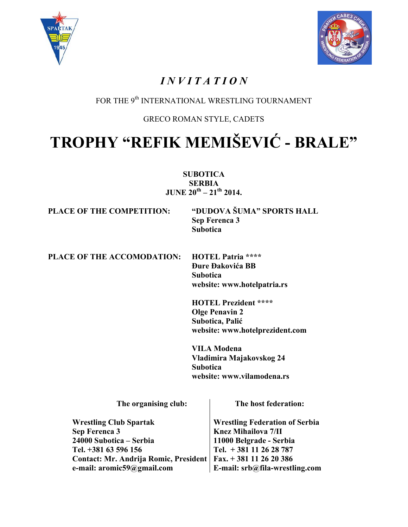



## *I N V I T A T I O N*

### FOR THE 9<sup>th</sup> INTERNATIONAL WRESTLING TOURNAMENT

### GRECO ROMAN STYLE, CADETS

# **TROPHY "REFIK MEMIŠEVIĆ - BRALE"**

**SUBOTICA SERBIA JUNE**  $20^{th} - 21^{th}$  **2014.** 

**PLACE OF THE COMPETITION: "DUDOVA ŠUMA" SPORTS HALL Sep Ferenca 3 Subotica** 

**PLACE OF THE ACCOMODATION: HOTEL Patria \*\*\*\*** 

**Đure Đakovića BB Subotica website: www.hotelpatria.rs** 

**HOTEL Prezident \*\*\*\* Olge Penavin 2 Subotica, Palić website: www.hotelprezident.com** 

**VILA Modena Vladimira Majakovskog 24 Subotica website: www.vilamodena.rs** 

**The organising club:** 

**The host federation:** 

| <b>Wrestling Club Spartak</b>                                   | Wrestling Federation of Serbia                       |
|-----------------------------------------------------------------|------------------------------------------------------|
| Sep Ferenca 3                                                   | <b>Knez Mihailova 7/II</b>                           |
| 24000 Subotica – Serbia                                         |                                                      |
| Tel. +381 63 596 156                                            | 11000 Belgrade - Serbia<br>  Tel. + 381 11 26 28 787 |
| Contact: Mr. Andrija Romic, President   Fax. + 381 11 26 20 386 |                                                      |
| e-mail: aromic59@gmail.com                                      | $\perp$ E-mail: srb@fila-wrestling.com               |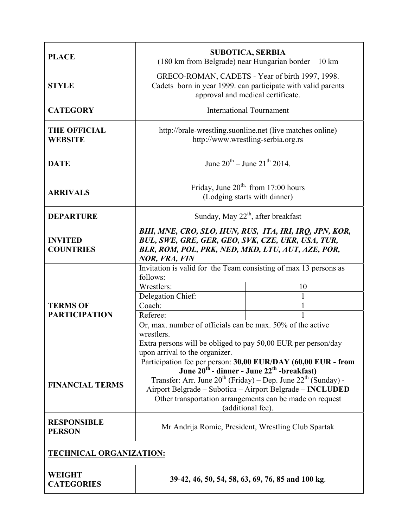| <b>PLACE</b>                            |                                                                                                                                                                                                                                                                                                                                                              | <b>SUBOTICA, SERBIA</b><br>$(180 \text{ km from Belgrade})$ near Hungarian border $-10 \text{ km}$ |  |
|-----------------------------------------|--------------------------------------------------------------------------------------------------------------------------------------------------------------------------------------------------------------------------------------------------------------------------------------------------------------------------------------------------------------|----------------------------------------------------------------------------------------------------|--|
| <b>STYLE</b>                            | GRECO-ROMAN, CADETS - Year of birth 1997, 1998.<br>Cadets born in year 1999. can participate with valid parents<br>approval and medical certificate.                                                                                                                                                                                                         |                                                                                                    |  |
| <b>CATEGORY</b>                         | <b>International Tournament</b>                                                                                                                                                                                                                                                                                                                              |                                                                                                    |  |
| <b>THE OFFICIAL</b><br><b>WEBSITE</b>   | http://brale-wrestling.suonline.net (live matches online)<br>http://www.wrestling-serbia.org.rs                                                                                                                                                                                                                                                              |                                                                                                    |  |
| <b>DATE</b>                             | June $20^{th}$ – June $21^{th}$ 2014                                                                                                                                                                                                                                                                                                                         |                                                                                                    |  |
| <b>ARRIVALS</b>                         | Friday, June $20^{th}$ from 17:00 hours<br>(Lodging starts with dinner)                                                                                                                                                                                                                                                                                      |                                                                                                    |  |
| <b>DEPARTURE</b>                        | Sunday, May $22^{th}$ , after breakfast                                                                                                                                                                                                                                                                                                                      |                                                                                                    |  |
| <b>INVITED</b><br><b>COUNTRIES</b>      | BIH, MNE, CRO, SLO, HUN, RUS, ITA, IRI, IRQ, JPN, KOR,<br>BUL, SWE, GRE, GER, GEO, SVK, CZE, UKR, USA, TUR,<br>BLR, ROM, POL, PRK, NED, MKD, LTU, AUT, AZE, POR,<br><b>NOR, FRA, FIN</b>                                                                                                                                                                     |                                                                                                    |  |
| <b>TERMS OF</b><br><b>PARTICIPATION</b> | Invitation is valid for the Team consisting of max 13 persons as<br>follows:<br>Wrestlers:<br>Delegation Chief:<br>Coach:<br>Referee:<br>Or, max. number of officials can be max. 50% of the active<br>wrestlers.<br>Extra persons will be obliged to pay 50,00 EUR per person/day<br>upon arrival to the organizer.                                         | 10<br>1<br>1                                                                                       |  |
| <b>FINANCIAL TERMS</b>                  | Participation fee per person: 30,00 EUR/DAY (60,00 EUR - from<br>June 20 <sup>th</sup> - dinner - June 22 <sup>th</sup> -breakfast)<br>Transfer: Arr. June $20^{th}$ (Friday) – Dep. June $22^{th}$ (Sunday) -<br>Airport Belgrade - Subotica - Airport Belgrade - INCLUDED<br>Other transportation arrangements can be made on request<br>(additional fee). |                                                                                                    |  |
| <b>RESPONSIBLE</b><br><b>PERSON</b>     | Mr Andrija Romic, President, Wrestling Club Spartak                                                                                                                                                                                                                                                                                                          |                                                                                                    |  |
| <b>TECHNICAL ORGANIZATION:</b>          |                                                                                                                                                                                                                                                                                                                                                              |                                                                                                    |  |
| <b>WEIGHT</b><br><b>CATEGORIES</b>      |                                                                                                                                                                                                                                                                                                                                                              | 39-42, 46, 50, 54, 58, 63, 69, 76, 85 and 100 kg.                                                  |  |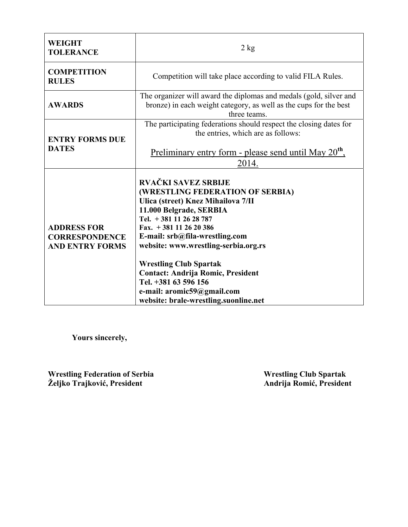| <b>WEIGHT</b><br><b>TOLERANCE</b>                                     | $2$ kg                                                                                                                                                                                                                                                                                                                                                                                                                                             |
|-----------------------------------------------------------------------|----------------------------------------------------------------------------------------------------------------------------------------------------------------------------------------------------------------------------------------------------------------------------------------------------------------------------------------------------------------------------------------------------------------------------------------------------|
| <b>COMPETITION</b><br><b>RULES</b>                                    | Competition will take place according to valid FILA Rules.                                                                                                                                                                                                                                                                                                                                                                                         |
| <b>AWARDS</b>                                                         | The organizer will award the diplomas and medals (gold, silver and<br>bronze) in each weight category, as well as the cups for the best<br>three teams.                                                                                                                                                                                                                                                                                            |
| <b>ENTRY FORMS DUE</b><br><b>DATES</b>                                | The participating federations should respect the closing dates for<br>the entries, which are as follows:<br>Preliminary entry form - please send until May 20 <sup>th</sup> ,                                                                                                                                                                                                                                                                      |
| <b>ADDRESS FOR</b><br><b>CORRESPONDENCE</b><br><b>AND ENTRY FORMS</b> | 2014.<br><b>RVAČKI SAVEZ SRBIJE</b><br>(WRESTLING FEDERATION OF SERBIA)<br>Ulica (street) Knez Mihailova 7/II<br>11.000 Belgrade, SERBIA<br>Tel. $+381$ 11 26 28 787<br>Fax. $+381112620386$<br>E-mail: srb@fila-wrestling.com<br>website: www.wrestling-serbia.org.rs<br><b>Wrestling Club Spartak</b><br><b>Contact: Andrija Romic, President</b><br>Tel. +381 63 596 156<br>e-mail: aromic59@gmail.com<br>website: brale-wrestling.suonline.net |

 **Yours sincerely,** 

**Wrestling Federation of Serbia** Mrestling Club Spartak **Wrestling Club Spartak Željko Trajković, President Andrija Romić, President**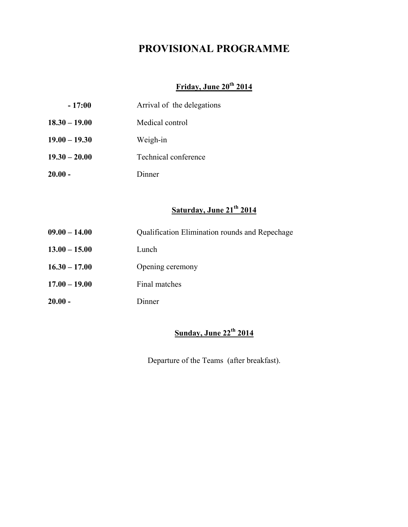### **PROVISIONAL PROGRAMME**

### **Friday, June 20th 2014**

| $-17:00$        | Arrival of the delegations |
|-----------------|----------------------------|
| $18.30 - 19.00$ | Medical control            |
| $19.00 - 19.30$ | Weigh-in                   |
| $19.30 - 20.00$ | Technical conference       |
| $20.00 -$       | Dinner                     |

### **Saturday, June 21th 2014**

- **09.00 14.00** Qualification Elimination rounds and Repechage
- **13.00 15.00** Lunch
- **16.30 17.00** Opening ceremony
- **17.00 19.00** Final matches
- **20.00** Dinner

### **Sunday, June 22th 2014**

Departure of the Teams (after breakfast).